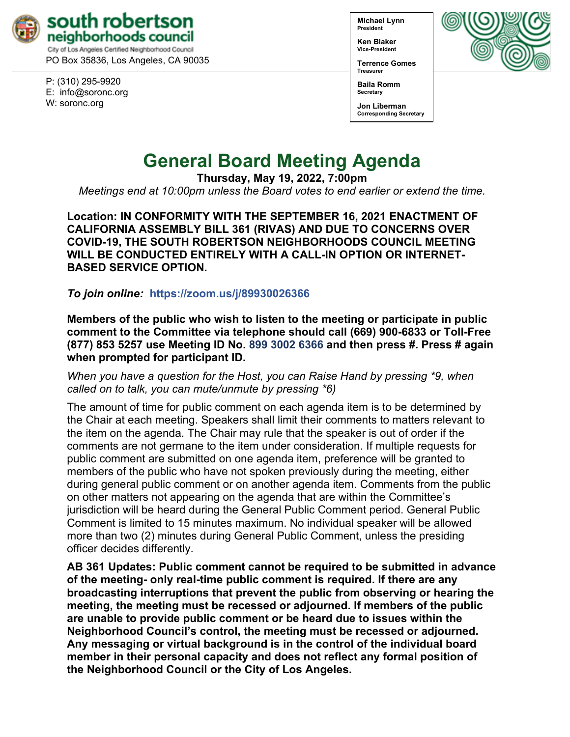

PO Box 35836, Los Angeles, CA 90035

P: (310) 295-9920 E: [info@soronc.org](mailto:info@soronc.org) W: soronc.org

**Michael Lynn President**

**Ken Blaker Vice-President**

**Terrence Gomes Treasurer**



**Baila Romm Secretary**

**Jon Liberman Corresponding Secretary**

# **General Board Meeting Agenda**

**Thursday, May 19, 2022, 7:00pm**

*Meetings end at 10:00pm unless the Board votes to end earlier or extend the time.*

**Location: IN CONFORMITY WITH THE SEPTEMBER 16, 2021 ENACTMENT OF CALIFORNIA ASSEMBLY BILL 361 (RIVAS) AND DUE TO CONCERNS OVER COVID-19, THE SOUTH ROBERTSON NEIGHBORHOODS COUNCIL MEETING WILL BE CONDUCTED ENTIRELY WITH A CALL-IN OPTION OR INTERNET-BASED SERVICE OPTION.**

*To join online:* **<https://zoom.us/j/89930026366>**

**Members of the public who wish to listen to the meeting or participate in public comment to the Committee via telephone should call (669) 900-6833 or Toll-Free (877) 853 5257 use Meeting ID No. 899 3002 6366 and then press #. Press # again when prompted for participant ID.** 

*When you have a question for the Host, you can Raise Hand by pressing \*9, when called on to talk, you can mute/unmute by pressing \*6)* 

The amount of time for public comment on each agenda item is to be determined by the Chair at each meeting. Speakers shall limit their comments to matters relevant to the item on the agenda. The Chair may rule that the speaker is out of order if the comments are not germane to the item under consideration. If multiple requests for public comment are submitted on one agenda item, preference will be granted to members of the public who have not spoken previously during the meeting, either during general public comment or on another agenda item. Comments from the public on other matters not appearing on the agenda that are within the Committee's jurisdiction will be heard during the General Public Comment period. General Public Comment is limited to 15 minutes maximum. No individual speaker will be allowed more than two (2) minutes during General Public Comment, unless the presiding officer decides differently.

**AB 361 Updates: Public comment cannot be required to be submitted in advance of the meeting- only real-time public comment is required. If there are any broadcasting interruptions that prevent the public from observing or hearing the meeting, the meeting must be recessed or adjourned. If members of the public are unable to provide public comment or be heard due to issues within the Neighborhood Council's control, the meeting must be recessed or adjourned. Any messaging or virtual background is in the control of the individual board member in their personal capacity and does not reflect any formal position of the Neighborhood Council or the City of Los Angeles.**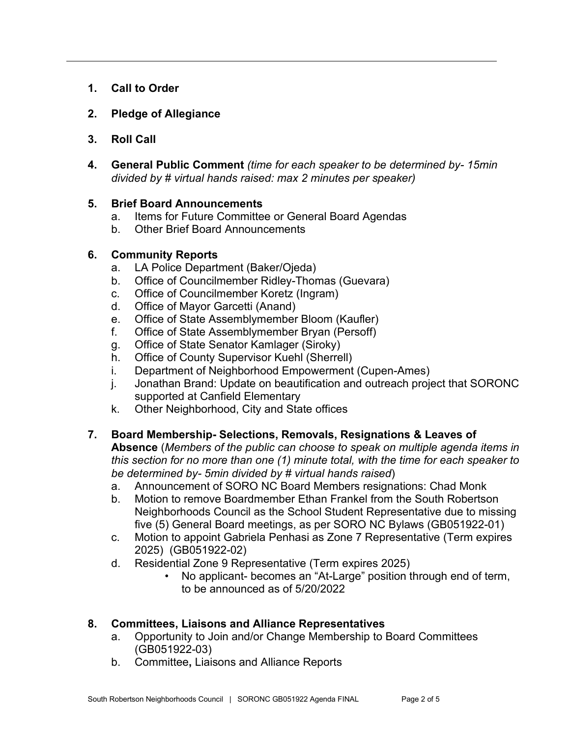- **1. Call to Order**
- **2. Pledge of Allegiance**
- **3. Roll Call**
- **4. General Public Comment** *(time for each speaker to be determined by- 15min divided by # virtual hands raised: max 2 minutes per speaker)*

## **5. Brief Board Announcements**

- a. Items for Future Committee or General Board Agendas
- b. Other Brief Board Announcements

## **6. Community Reports**

- a. LA Police Department (Baker/Ojeda)
- b. Office of Councilmember Ridley-Thomas (Guevara)
- c. Office of Councilmember Koretz (Ingram)
- d. Office of Mayor Garcetti (Anand)
- e. Office of State Assemblymember Bloom (Kaufler)
- f. Office of State Assemblymember Bryan (Persoff)
- g. Office of State Senator Kamlager (Siroky)
- h. Office of County Supervisor Kuehl (Sherrell)
- i. Department of Neighborhood Empowerment (Cupen-Ames)
- j. Jonathan Brand: Update on beautification and outreach project that SORONC supported at Canfield Elementary
- k. Other Neighborhood, City and State offices

# **7. Board Membership- Selections, Removals, Resignations & Leaves of**

**Absence** (*Members of the public can choose to speak on multiple agenda items in this section for no more than one (1) minute total, with the time for each speaker to be determined by- 5min divided by # virtual hands raised*)

- a. Announcement of SORO NC Board Members resignations: Chad Monk
- b. Motion to remove Boardmember Ethan Frankel from the South Robertson Neighborhoods Council as the School Student Representative due to missing five (5) General Board meetings, as per SORO NC Bylaws (GB051922-01)
- c. Motion to appoint Gabriela Penhasi as Zone 7 Representative (Term expires 2025) (GB051922-02)
- d. Residential Zone 9 Representative (Term expires 2025)
	- No applicant- becomes an "At-Large" position through end of term, to be announced as of 5/20/2022

# **8. Committees, Liaisons and Alliance Representatives**

- a. Opportunity to Join and/or Change Membership to Board Committees (GB051922-03)
- b. Committee**,** Liaisons and Alliance Reports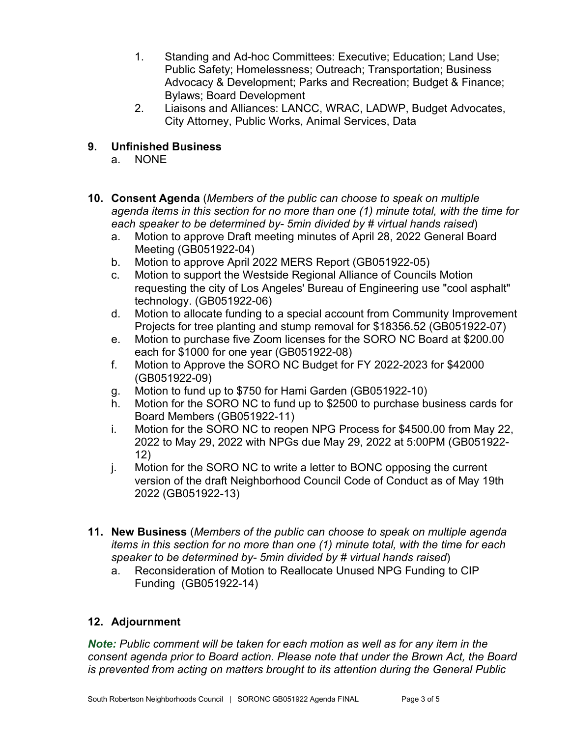- 1. Standing and Ad-hoc Committees: Executive; Education; Land Use; Public Safety; Homelessness; Outreach; Transportation; Business Advocacy & Development; Parks and Recreation; Budget & Finance; Bylaws; Board Development
- 2. Liaisons and Alliances: LANCC, WRAC, LADWP, Budget Advocates, City Attorney, Public Works, Animal Services, Data

## **9. Unfinished Business**

- a. NONE
- **10. Consent Agenda** (*Members of the public can choose to speak on multiple agenda items in this section for no more than one (1) minute total, with the time for each speaker to be determined by- 5min divided by # virtual hands raised*)
	- a. Motion to approve Draft meeting minutes of April 28, 2022 General Board Meeting (GB051922-04)
	- b. Motion to approve April 2022 MERS Report (GB051922-05)
	- c. Motion to support the Westside Regional Alliance of Councils Motion requesting the city of Los Angeles' Bureau of Engineering use "cool asphalt" technology. (GB051922-06)
	- d. Motion to allocate funding to a special account from Community Improvement Projects for tree planting and stump removal for \$18356.52 (GB051922-07)
	- e. Motion to purchase five Zoom licenses for the SORO NC Board at \$200.00 each for \$1000 for one year (GB051922-08)
	- f. Motion to Approve the SORO NC Budget for FY 2022-2023 for \$42000 (GB051922-09)
	- g. Motion to fund up to \$750 for Hami Garden (GB051922-10)
	- h. Motion for the SORO NC to fund up to \$2500 to purchase business cards for Board Members (GB051922-11)
	- i. Motion for the SORO NC to reopen NPG Process for \$4500.00 from May 22, 2022 to May 29, 2022 with NPGs due May 29, 2022 at 5:00PM (GB051922- 12)
	- j. Motion for the SORO NC to write a letter to BONC opposing the current version of the draft Neighborhood Council Code of Conduct as of May 19th 2022 (GB051922-13)
- **11. New Business** (*Members of the public can choose to speak on multiple agenda items in this section for no more than one (1) minute total, with the time for each speaker to be determined by- 5min divided by # virtual hands raised*)
	- a. Reconsideration of Motion to Reallocate Unused NPG Funding to CIP Funding (GB051922-14)

# **12. Adjournment**

*Note: Public comment will be taken for each motion as well as for any item in the consent agenda prior to Board action. Please note that under the Brown Act, the Board is prevented from acting on matters brought to its attention during the General Public*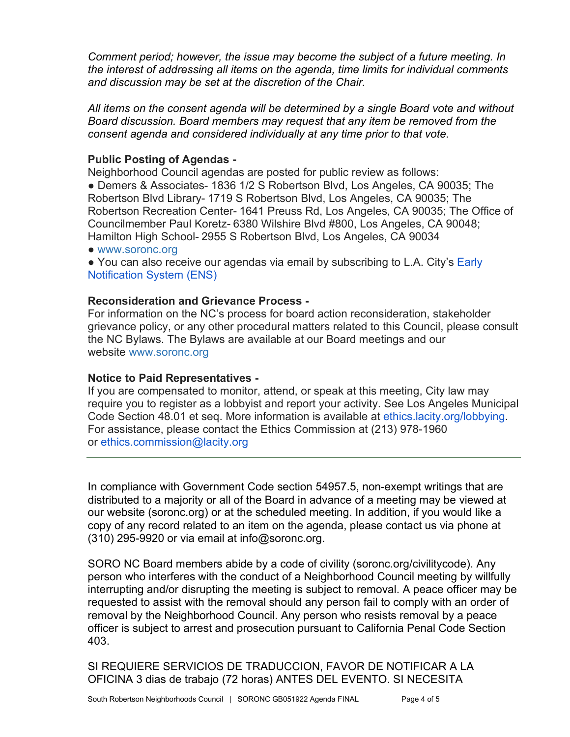*Comment period; however, the issue may become the subject of a future meeting. In the interest of addressing all items on the agenda, time limits for individual comments and discussion may be set at the discretion of the Chair.*

*All items on the consent agenda will be determined by a single Board vote and without Board discussion. Board members may request that any item be removed from the consent agenda and considered individually at any time prior to that vote.*

## **Public Posting of Agendas -**

Neighborhood Council agendas are posted for public review as follows:

● Demers & Associates- 1836 1/2 S Robertson Blvd, Los Angeles, CA 90035; The Robertson Blvd Library- 1719 S Robertson Blvd, Los Angeles, CA 90035; The Robertson Recreation Center- 1641 Preuss Rd, Los Angeles, CA 90035; The Office of Councilmember Paul Koretz- 6380 Wilshire Blvd #800, Los Angeles, CA 90048; Hamilton High School- 2955 S Robertson Blvd, Los Angeles, CA 90034

- [www.soronc.org](http://www.soronc.org/)
- You can also receive our agendas via email by subscribing to L.A. City's Early [Notification System \(ENS\)](https://www.lacity.org/government/subscribe-agendasnotifications/neighborhood-councils)

## **Reconsideration and Grievance Process -**

For information on the NC's process for board action reconsideration, stakeholder grievance policy, or any other procedural matters related to this Council, please consult the NC Bylaws. The Bylaws are available at our Board meetings and our website [www.soronc.org](http://www.soronc.org/)

## **Notice to Paid Representatives -**

If you are compensated to monitor, attend, or speak at this meeting, City law may require you to register as a lobbyist and report your activity. See Los Angeles Municipal Code Section 48.01 et seq. More information is available at [ethics.lacity.org/lobbying.](http://ethics.lacity.org/lobbying) For assistance, please contact the Ethics Commission at (213) 978-1960 or [ethics.commission@lacity.org](mailto:ethics.commission@lacity.org)

In compliance with Government Code section 54957.5, non-exempt writings that are distributed to a majority or all of the Board in advance of a meeting may be viewed at our website (soronc.org) or at the scheduled meeting. In addition, if you would like a copy of any record related to an item on the agenda, please contact us via phone at (310) 295-9920 or via email at [info@soronc.org.](mailto:info@soronc.org)

SORO NC Board members abide by a code of civility (soronc.org/civilitycode). Any person who interferes with the conduct of a Neighborhood Council meeting by willfully interrupting and/or disrupting the meeting is subject to removal. A peace officer may be requested to assist with the removal should any person fail to comply with an order of removal by the Neighborhood Council. Any person who resists removal by a peace officer is subject to arrest and prosecution pursuant to California Penal Code Section 403.

SI REQUIERE SERVICIOS DE TRADUCCION, FAVOR DE NOTIFICAR A LA OFICINA 3 dias de trabajo (72 horas) ANTES DEL EVENTO. SI NECESITA